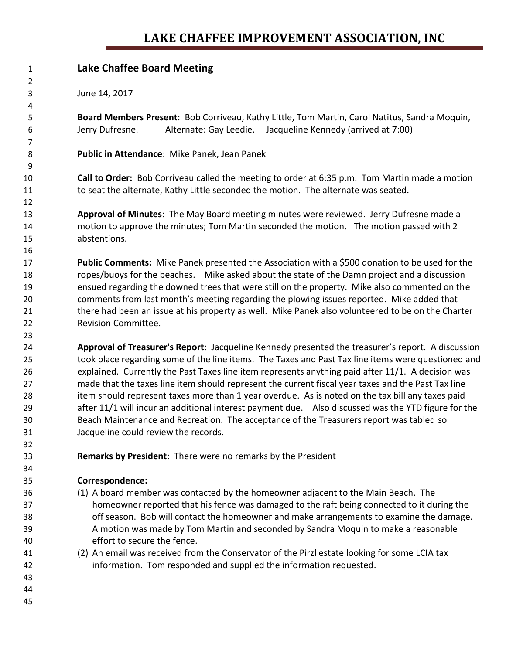## **LAKE CHAFFEE IMPROVEMENT ASSOCIATION, INC**

| $\mathbf{1}$   | <b>Lake Chaffee Board Meeting</b>                                                                   |
|----------------|-----------------------------------------------------------------------------------------------------|
| $\overline{2}$ |                                                                                                     |
| 3              | June 14, 2017                                                                                       |
| 4              |                                                                                                     |
| 5              | Board Members Present: Bob Corriveau, Kathy Little, Tom Martin, Carol Natitus, Sandra Moquin,       |
| 6              | Jerry Dufresne.<br>Alternate: Gay Leedie. Jacqueline Kennedy (arrived at 7:00)                      |
| 7              |                                                                                                     |
| 8              | Public in Attendance: Mike Panek, Jean Panek                                                        |
| 9              |                                                                                                     |
| 10             | Call to Order: Bob Corriveau called the meeting to order at 6:35 p.m. Tom Martin made a motion      |
| 11             | to seat the alternate, Kathy Little seconded the motion. The alternate was seated.                  |
| 12             |                                                                                                     |
| 13             | Approval of Minutes: The May Board meeting minutes were reviewed. Jerry Dufresne made a             |
| 14             | motion to approve the minutes; Tom Martin seconded the motion. The motion passed with 2             |
| 15             | abstentions.                                                                                        |
| 16             |                                                                                                     |
| 17             | Public Comments: Mike Panek presented the Association with a \$500 donation to be used for the      |
| 18             | ropes/buoys for the beaches. Mike asked about the state of the Damn project and a discussion        |
| 19             | ensued regarding the downed trees that were still on the property. Mike also commented on the       |
| 20             | comments from last month's meeting regarding the plowing issues reported. Mike added that           |
| 21             | there had been an issue at his property as well. Mike Panek also volunteered to be on the Charter   |
| 22             | Revision Committee.                                                                                 |
| 23             |                                                                                                     |
| 24             | Approval of Treasurer's Report: Jacqueline Kennedy presented the treasurer's report. A discussion   |
| 25             | took place regarding some of the line items. The Taxes and Past Tax line items were questioned and  |
| 26             | explained. Currently the Past Taxes line item represents anything paid after 11/1. A decision was   |
| 27             | made that the taxes line item should represent the current fiscal year taxes and the Past Tax line  |
| 28             | item should represent taxes more than 1 year overdue. As is noted on the tax bill any taxes paid    |
| 29             | after 11/1 will incur an additional interest payment due. Also discussed was the YTD figure for the |
| 30             | Beach Maintenance and Recreation. The acceptance of the Treasurers report was tabled so             |
| 31             | Jacqueline could review the records.                                                                |
| 32             |                                                                                                     |
| 33             | Remarks by President: There were no remarks by the President                                        |
| 34             |                                                                                                     |
| 35             | Correspondence:                                                                                     |
| 36             | (1) A board member was contacted by the homeowner adjacent to the Main Beach. The                   |
| 37             | homeowner reported that his fence was damaged to the raft being connected to it during the          |
| 38             | off season. Bob will contact the homeowner and make arrangements to examine the damage.             |
| 39             | A motion was made by Tom Martin and seconded by Sandra Moquin to make a reasonable                  |
| 40             | effort to secure the fence.                                                                         |
| 41             | (2) An email was received from the Conservator of the Pirzl estate looking for some LCIA tax        |
| 42             | information. Tom responded and supplied the information requested.                                  |
| 43             |                                                                                                     |

- 
-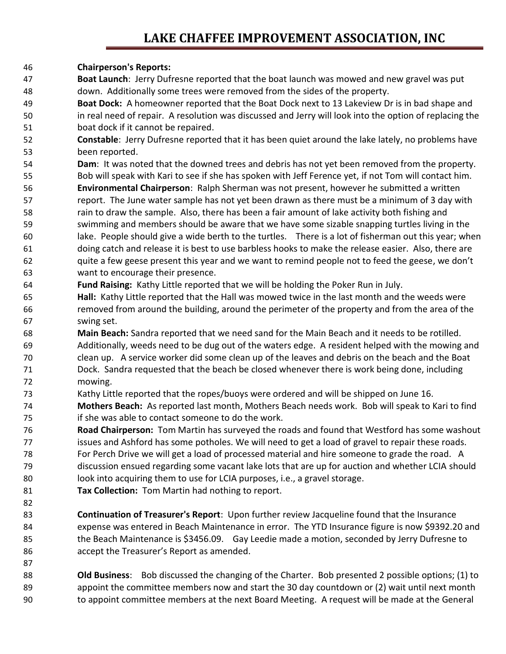## **LAKE CHAFFEE IMPROVEMENT ASSOCIATION, INC**

## **Chairperson's Reports:**

- **Boat Launch**: Jerry Dufresne reported that the boat launch was mowed and new gravel was put down. Additionally some trees were removed from the sides of the property.
- **Boat Dock:** A homeowner reported that the Boat Dock next to 13 Lakeview Dr is in bad shape and in real need of repair. A resolution was discussed and Jerry will look into the option of replacing the boat dock if it cannot be repaired.
- **Constable**: Jerry Dufresne reported that it has been quiet around the lake lately, no problems have been reported.
- **Dam**: It was noted that the downed trees and debris has not yet been removed from the property. Bob will speak with Kari to see if she has spoken with Jeff Ference yet, if not Tom will contact him. **Environmental Chairperson**: Ralph Sherman was not present, however he submitted a written report. The June water sample has not yet been drawn as there must be a minimum of 3 day with rain to draw the sample. Also, there has been a fair amount of lake activity both fishing and swimming and members should be aware that we have some sizable snapping turtles living in the lake. People should give a wide berth to the turtles. There is a lot of fisherman out this year; when doing catch and release it is best to use barbless hooks to make the release easier. Also, there are quite a few geese present this year and we want to remind people not to feed the geese, we don't want to encourage their presence.
- **Fund Raising:** Kathy Little reported that we will be holding the Poker Run in July.
- **Hall:** Kathy Little reported that the Hall was mowed twice in the last month and the weeds were removed from around the building, around the perimeter of the property and from the area of the swing set.
- **Main Beach:** Sandra reported that we need sand for the Main Beach and it needs to be rotilled. Additionally, weeds need to be dug out of the waters edge. A resident helped with the mowing and clean up. A service worker did some clean up of the leaves and debris on the beach and the Boat Dock. Sandra requested that the beach be closed whenever there is work being done, including mowing.
- Kathy Little reported that the ropes/buoys were ordered and will be shipped on June 16. **Mothers Beach:** As reported last month, Mothers Beach needs work. Bob will speak to Kari to find
- if she was able to contact someone to do the work.
- **Road Chairperson:** Tom Martin has surveyed the roads and found that Westford has some washout issues and Ashford has some potholes. We will need to get a load of gravel to repair these roads. For Perch Drive we will get a load of processed material and hire someone to grade the road. A discussion ensued regarding some vacant lake lots that are up for auction and whether LCIA should look into acquiring them to use for LCIA purposes, i.e., a gravel storage.
- **Tax Collection:** Tom Martin had nothing to report.

- **Continuation of Treasurer's Report**: Upon further review Jacqueline found that the Insurance expense was entered in Beach Maintenance in error. The YTD Insurance figure is now \$9392.20 and the Beach Maintenance is \$3456.09. Gay Leedie made a motion, seconded by Jerry Dufresne to accept the Treasurer's Report as amended.
- **Old Business**: Bob discussed the changing of the Charter. Bob presented 2 possible options; (1) to appoint the committee members now and start the 30 day countdown or (2) wait until next month to appoint committee members at the next Board Meeting. A request will be made at the General